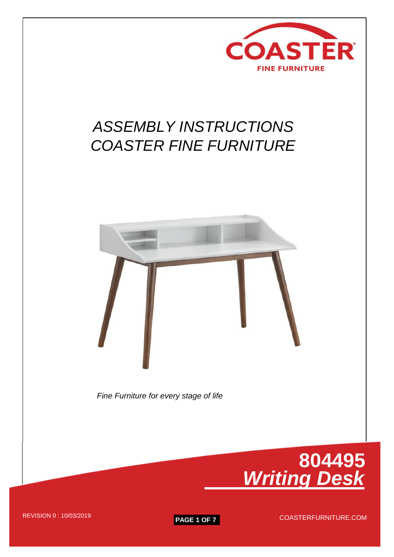

## *ASSEMBLY INSTRUCTIONS COASTER FINE FURNITURE*



 *Fine Furniture for every stage of life*

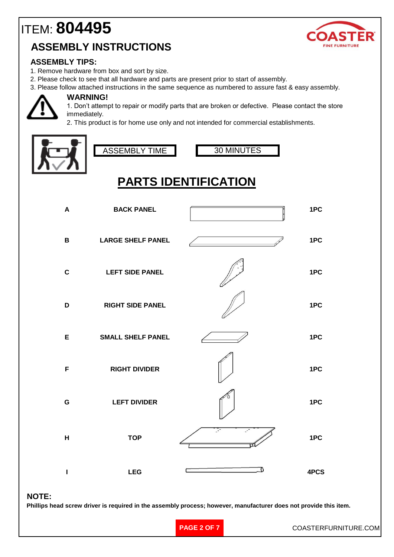## ITEM: **804495 ASSEMBLY INSTRUCTIONS**



#### **ASSEMBLY TIPS:**

- 1. Remove hardware from box and sort by size.
- 2. Please check to see that all hardware and parts are present prior to start of assembly.
- 3. Please follow attached instructions in the same sequence as numbered to assure fast & easy assembly.



#### **WARNING!**

1. Don't attempt to repair or modify parts that are broken or defective. Please contact the store immediately.

2. This product is for home use only and not intended for commercial establishments.





30 MINUTES

## **PARTS IDENTIFICATION**

| A            | <b>BACK PANEL</b>        | 1PC  |
|--------------|--------------------------|------|
| $\, {\bf B}$ | <b>LARGE SHELF PANEL</b> | 1PC  |
| $\mathbf c$  | <b>LEFT SIDE PANEL</b>   | 1PC  |
| D            | <b>RIGHT SIDE PANEL</b>  | 1PC  |
| E            | <b>SMALL SHELF PANEL</b> | 1PC  |
| F            | <b>RIGHT DIVIDER</b>     | 1PC  |
| $\mathbf G$  | <b>LEFT DIVIDER</b>      | 1PC  |
| H            | <b>TOP</b>               | 1PC  |
| ı            | <b>LEG</b>               | 4PCS |

#### **NOTE:**

**Phillips head screw driver is required in the assembly process; however, manufacturer does not provide this item.**

**PAGE 2 OF 7**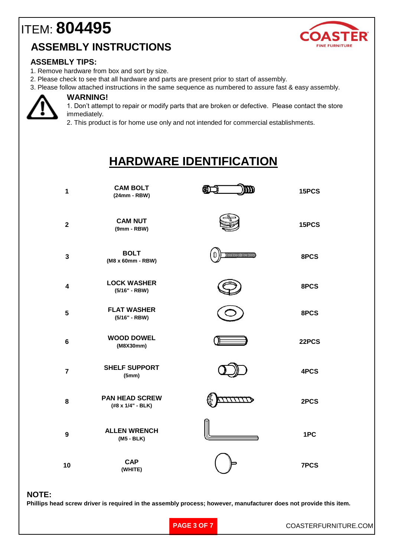## ITEM: **804495 ASSEMBLY INSTRUCTIONS**



#### **ASSEMBLY TIPS:**

- 1. Remove hardware from box and sort by size.
- 2. Please check to see that all hardware and parts are present prior to start of assembly.
- 3. Please follow attached instructions in the same sequence as numbered to assure fast & easy assembly.



**WARNING!**

1. Don't attempt to repair or modify parts that are broken or defective. Please contact the store immediately.

2. This product is for home use only and not intended for commercial establishments.

### **HARDWARE IDENTIFICATION**

| 1                       | <b>CAM BOLT</b><br>$(24mm - RBW)$          |                         | 15PCS |
|-------------------------|--------------------------------------------|-------------------------|-------|
| $\overline{\mathbf{2}}$ | <b>CAM NUT</b><br>$(9mm - RBW)$            |                         | 15PCS |
| $\mathbf{3}$            | <b>BOLT</b><br>(M8 x 60mm - RBW)           | 000000000000000000<br>m | 8PCS  |
| 4                       | <b>LOCK WASHER</b><br>(5/16" - RBW)        |                         | 8PCS  |
| 5                       | <b>FLAT WASHER</b><br>(5/16" - RBW)        |                         | 8PCS  |
| $6\phantom{1}$          | <b>WOOD DOWEL</b><br>(M8X30mm)             |                         | 22PCS |
| $\overline{7}$          | <b>SHELF SUPPORT</b><br>(5mm)              |                         | 4PCS  |
| 8                       | <b>PAN HEAD SCREW</b><br>(#8 x 1/4" - BLK) |                         | 2PCS  |
| 9                       | <b>ALLEN WRENCH</b><br>(M5 - BLK)          |                         | 1PC   |
| 10                      | <b>CAP</b><br>(WHITE)                      |                         | 7PCS  |

#### **NOTE:**

**Phillips head screw driver is required in the assembly process; however, manufacturer does not provide this item.**

**PAGE 3 OF 7**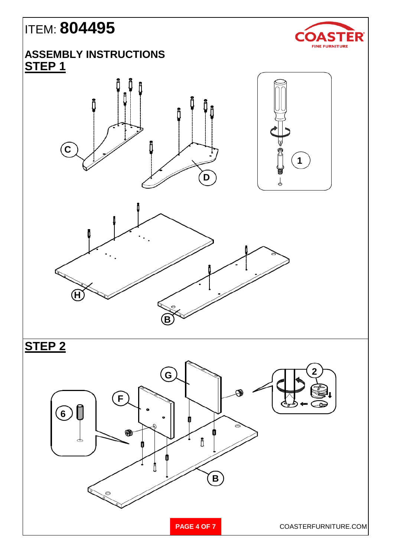# ITEM: **804495**

### **ASSEMBLY INSTRUCTIONS STEP 1**









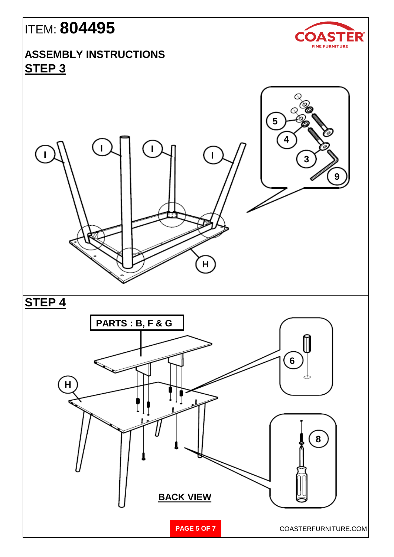# ITEM: **804495**



#### **ASSEMBLY INSTRUCTIONS STEP 3**

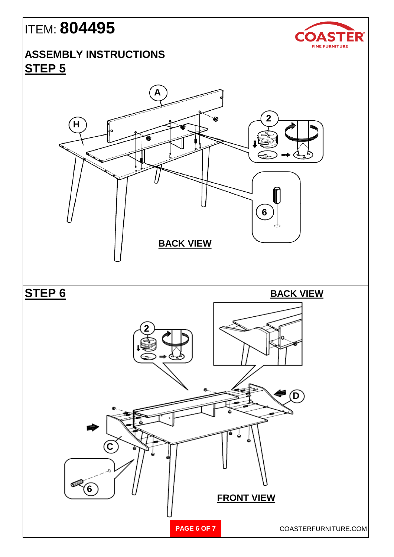# ITEM: **804495**

### **ASSEMBLY INSTRUCTIONS STEP 5**



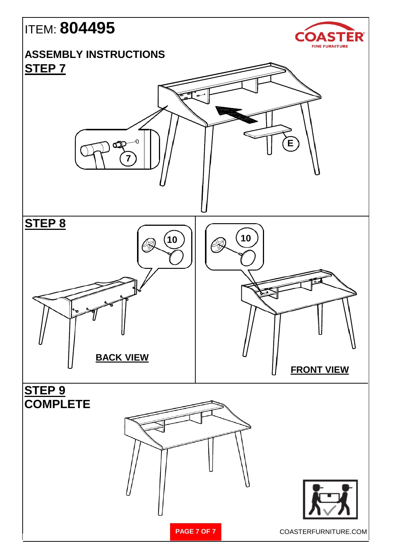